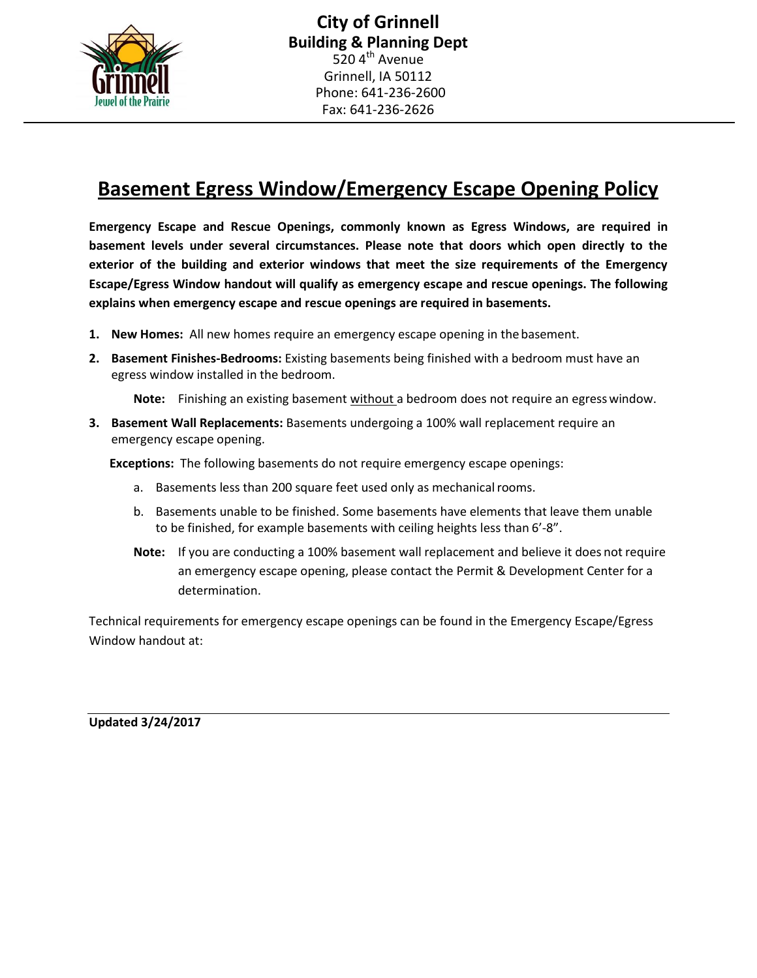

## **Basement Egress Window/Emergency Escape Opening Policy**

**Emergency Escape and Rescue Openings, commonly known as Egress Windows, are required in basement levels under several circumstances. Please note that doors which open directly to the exterior of the building and exterior windows that meet the size requirements of the Emergency Escape/Egress Window handout will qualify as emergency escape and rescue openings. The following explains when emergency escape and rescue openings are required in basements.**

- **1. New Homes:** All new homes require an emergency escape opening in thebasement.
- **2. Basement Finishes-Bedrooms:** Existing basements being finished with a bedroom must have an egress window installed in the bedroom.

**Note:** Finishing an existing basement without a bedroom does not require an egresswindow.

**3. Basement Wall Replacements:** Basements undergoing a 100% wall replacement require an emergency escape opening.

**Exceptions:** The following basements do not require emergency escape openings:

- a. Basements less than 200 square feet used only as mechanical rooms.
- b. Basements unable to be finished. Some basements have elements that leave them unable to be finished, for example basements with ceiling heights less than 6'-8".
- **Note:** If you are conducting a 100% basement wall replacement and believe it does not require an emergency escape opening, please contact the Permit & Development Center for a determination.

Technical requirements for emergency escape openings can be found in the Emergency Escape/Egress Window handout at:

**Updated 3/24/2017**